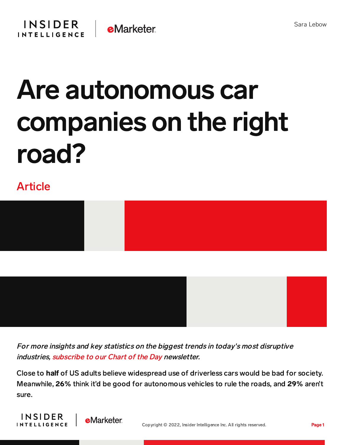## Are autonomous car companies on the right road?

## Article



For more insights and key statistics on the biggest trends in today's most disruptive industries, [subscribe](https://www.businessinsider.com/intelligence/chart-of-the-day-newsletter?IR=T&itm_source=insiderintelligence&itm_medium=inline_cotd&itm_content=chart-of-the-day-newsletter) to our Chart of the Day newsletter.

Close to half of US adults believe widespread use of driverless cars would be bad for society. Meanwhile, 26% think it'd be good for autonomous vehicles to rule the roads, and 29% aren't sure.